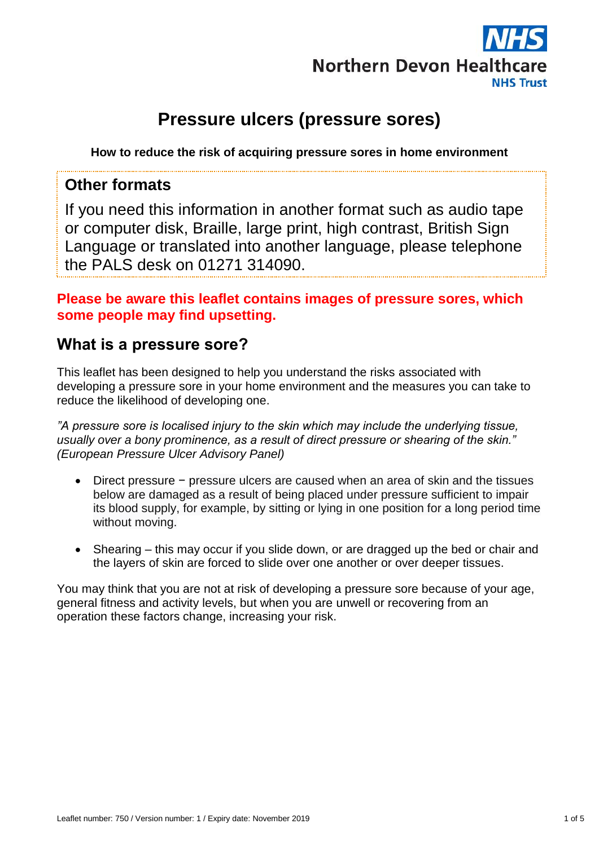

# **Pressure ulcers (pressure sores)**

**How to reduce the risk of acquiring pressure sores in home environment**

#### **Other formats**

If you need this information in another format such as audio tape or computer disk, Braille, large print, high contrast, British Sign Language or translated into another language, please telephone the PALS desk on 01271 314090.

**Please be aware this leaflet contains images of pressure sores, which some people may find upsetting.**

#### **What is a pressure sore?**

This leaflet has been designed to help you understand the risks associated with developing a pressure sore in your home environment and the measures you can take to reduce the likelihood of developing one.

*"A pressure sore is localised injury to the skin which may include the underlying tissue, usually over a bony prominence, as a result of direct pressure or shearing of the skin." (European Pressure Ulcer Advisory Panel)*

- Direct pressure − pressure ulcers are caused when an area of skin and the tissues below are damaged as a result of being placed under pressure sufficient to impair its blood supply, for example, by sitting or lying in one position for a long period time without moving.
- Shearing this may occur if you slide down, or are dragged up the bed or chair and the layers of skin are forced to slide over one another or over deeper tissues.

You may think that you are not at risk of developing a pressure sore because of your age, general fitness and activity levels, but when you are unwell or recovering from an operation these factors change, increasing your risk.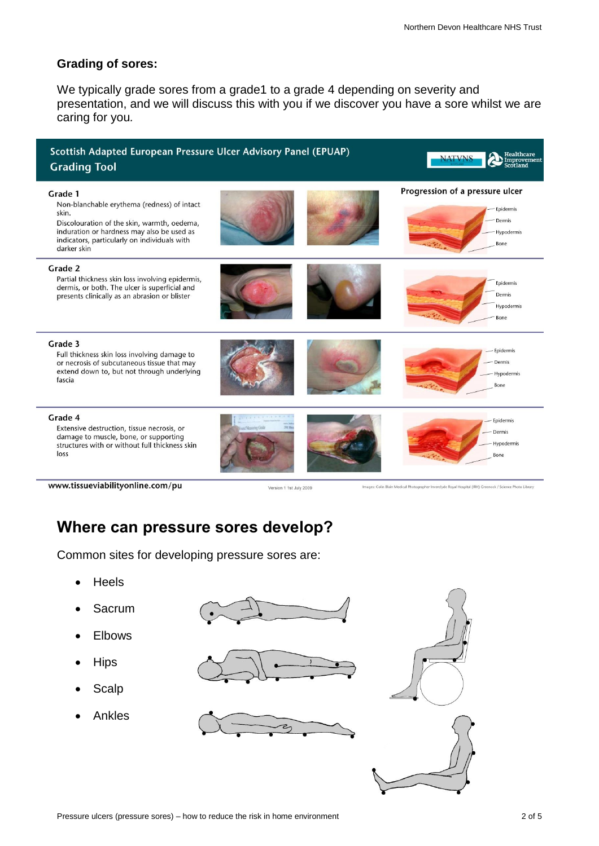#### **Grading of sores:**

We typically grade sores from a grade1 to a grade 4 depending on severity and presentation, and we will discuss this with you if we discover you have a sore whilst we are caring for you*.*



# **Where can pressure sores develop?**

Common sites for developing pressure sores are:

- Heels
- Sacrum
- Elbows
- **Hips**
- **Scalp**
- Ankles







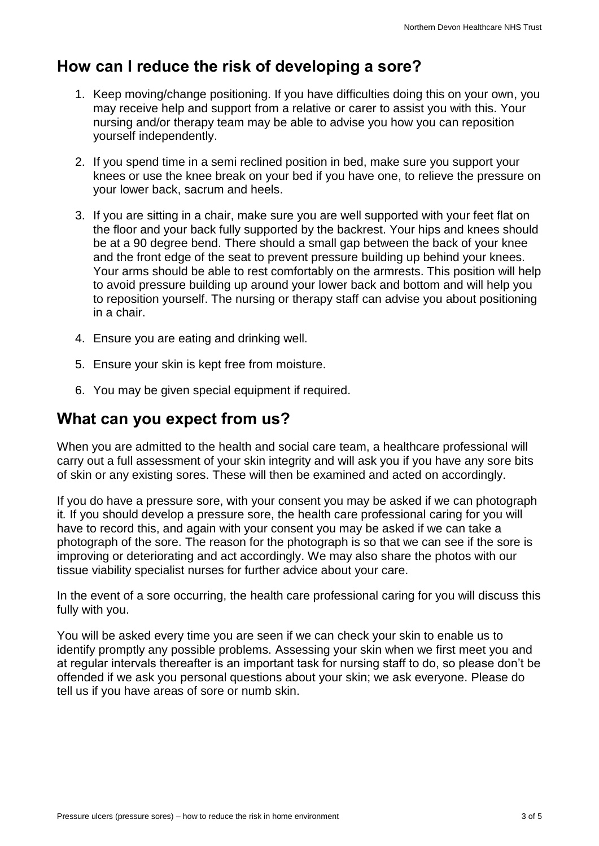### **How can I reduce the risk of developing a sore?**

- 1. Keep moving/change positioning. If you have difficulties doing this on your own, you may receive help and support from a relative or carer to assist you with this. Your nursing and/or therapy team may be able to advise you how you can reposition yourself independently.
- 2. If you spend time in a semi reclined position in bed, make sure you support your knees or use the knee break on your bed if you have one, to relieve the pressure on your lower back, sacrum and heels.
- 3. If you are sitting in a chair, make sure you are well supported with your feet flat on the floor and your back fully supported by the backrest. Your hips and knees should be at a 90 degree bend. There should a small gap between the back of your knee and the front edge of the seat to prevent pressure building up behind your knees. Your arms should be able to rest comfortably on the armrests. This position will help to avoid pressure building up around your lower back and bottom and will help you to reposition yourself. The nursing or therapy staff can advise you about positioning in a chair.
- 4. Ensure you are eating and drinking well.
- 5. Ensure your skin is kept free from moisture.
- 6. You may be given special equipment if required.

# **What can you expect from us?**

When you are admitted to the health and social care team, a healthcare professional will carry out a full assessment of your skin integrity and will ask you if you have any sore bits of skin or any existing sores. These will then be examined and acted on accordingly.

If you do have a pressure sore, with your consent you may be asked if we can photograph it*.* If you should develop a pressure sore, the health care professional caring for you will have to record this, and again with your consent you may be asked if we can take a photograph of the sore. The reason for the photograph is so that we can see if the sore is improving or deteriorating and act accordingly. We may also share the photos with our tissue viability specialist nurses for further advice about your care.

In the event of a sore occurring, the health care professional caring for you will discuss this fully with you.

You will be asked every time you are seen if we can check your skin to enable us to identify promptly any possible problems. Assessing your skin when we first meet you and at regular intervals thereafter is an important task for nursing staff to do, so please don't be offended if we ask you personal questions about your skin; we ask everyone. Please do tell us if you have areas of sore or numb skin.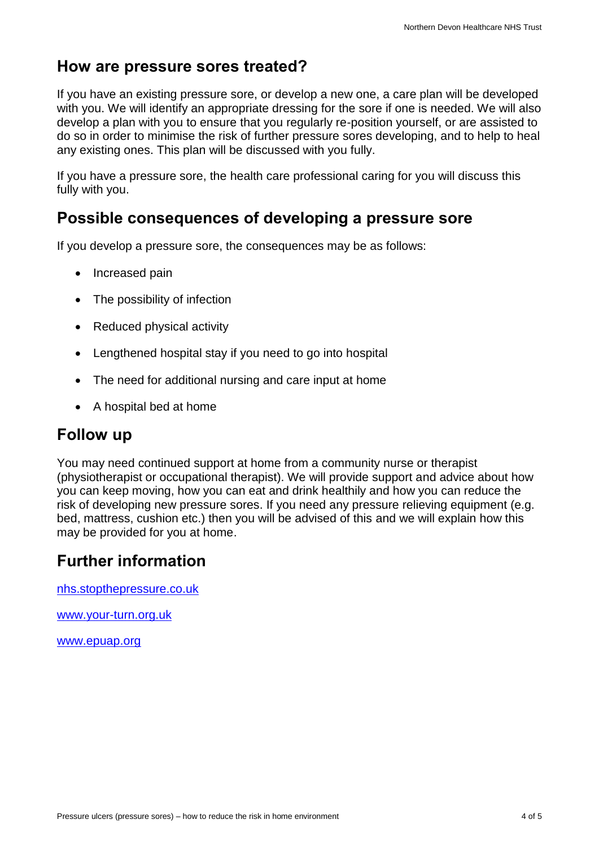#### **How are pressure sores treated?**

If you have an existing pressure sore, or develop a new one, a care plan will be developed with you. We will identify an appropriate dressing for the sore if one is needed. We will also develop a plan with you to ensure that you regularly re-position yourself, or are assisted to do so in order to minimise the risk of further pressure sores developing, and to help to heal any existing ones. This plan will be discussed with you fully.

If you have a pressure sore, the health care professional caring for you will discuss this fully with you.

#### **Possible consequences of developing a pressure sore**

If you develop a pressure sore, the consequences may be as follows:

- Increased pain
- The possibility of infection
- Reduced physical activity
- Lengthened hospital stay if you need to go into hospital
- The need for additional nursing and care input at home
- A hospital bed at home

#### **Follow up**

You may need continued support at home from a community nurse or therapist (physiotherapist or occupational therapist). We will provide support and advice about how you can keep moving, how you can eat and drink healthily and how you can reduce the risk of developing new pressure sores. If you need any pressure relieving equipment (e.g. bed, mattress, cushion etc.) then you will be advised of this and we will explain how this may be provided for you at home.

# **Further information**

[nhs.stopthepressure.co.uk](http://nhs.stopthepressure.co.uk/)

[www.your-turn.org.uk](http://www.your-turn.org.uk/)

[www.epuap.org](http://www.epuap.org/)